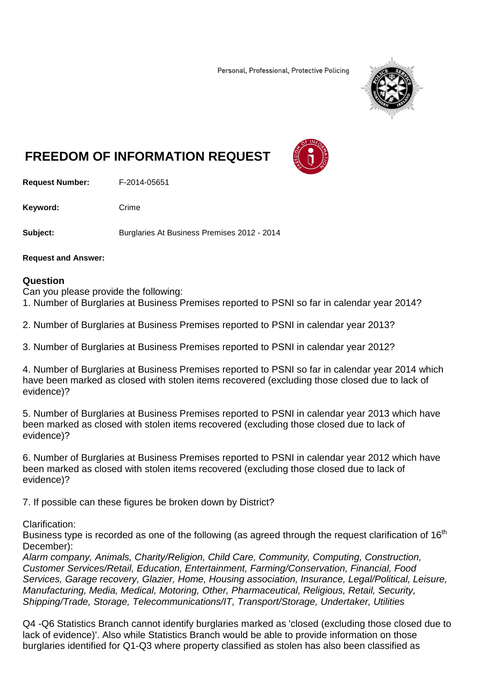Personal, Professional, Protective Policing



## **FREEDOM OF INFORMATION REQUEST**

**Request Number:** F-2014-05651

Keyword: Crime

**Subject:** Burglaries At Business Premises 2012 - 2014

**Request and Answer:**

## **Question**

Can you please provide the following:

1. Number of Burglaries at Business Premises reported to PSNI so far in calendar year 2014?

2. Number of Burglaries at Business Premises reported to PSNI in calendar year 2013?

3. Number of Burglaries at Business Premises reported to PSNI in calendar year 2012?

4. Number of Burglaries at Business Premises reported to PSNI so far in calendar year 2014 which have been marked as closed with stolen items recovered (excluding those closed due to lack of evidence)?

5. Number of Burglaries at Business Premises reported to PSNI in calendar year 2013 which have been marked as closed with stolen items recovered (excluding those closed due to lack of evidence)?

6. Number of Burglaries at Business Premises reported to PSNI in calendar year 2012 which have been marked as closed with stolen items recovered (excluding those closed due to lack of evidence)?

7. If possible can these figures be broken down by District?

Clarification:

Business type is recorded as one of the following (as agreed through the request clarification of  $16<sup>th</sup>$ December):

*Alarm company, Animals, Charity/Religion, Child Care, Community, Computing, Construction, Customer Services/Retail, Education, Entertainment, Farming/Conservation, Financial, Food Services, Garage recovery, Glazier, Home, Housing association, Insurance, Legal/Political, Leisure, Manufacturing, Media, Medical, Motoring, Other, Pharmaceutical, Religious, Retail, Security, Shipping/Trade, Storage, Telecommunications/IT, Transport/Storage, Undertaker, Utilities*

Q4 -Q6 Statistics Branch cannot identify burglaries marked as 'closed (excluding those closed due to lack of evidence)'. Also while Statistics Branch would be able to provide information on those burglaries identified for Q1-Q3 where property classified as stolen has also been classified as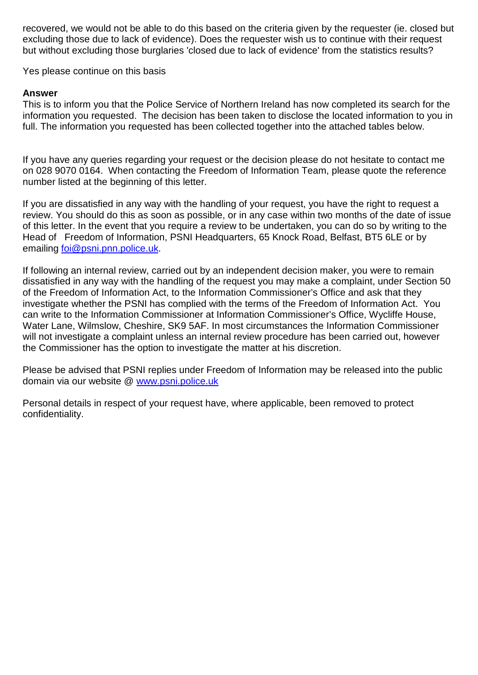recovered, we would not be able to do this based on the criteria given by the requester (ie. closed but excluding those due to lack of evidence). Does the requester wish us to continue with their request but without excluding those burglaries 'closed due to lack of evidence' from the statistics results?

Yes please continue on this basis

## **Answer**

This is to inform you that the Police Service of Northern Ireland has now completed its search for the information you requested. The decision has been taken to disclose the located information to you in full. The information you requested has been collected together into the attached tables below.

If you have any queries regarding your request or the decision please do not hesitate to contact me on 028 9070 0164. When contacting the Freedom of Information Team, please quote the reference number listed at the beginning of this letter.

If you are dissatisfied in any way with the handling of your request, you have the right to request a review. You should do this as soon as possible, or in any case within two months of the date of issue of this letter. In the event that you require a review to be undertaken, you can do so by writing to the Head of Freedom of Information, PSNI Headquarters, 65 Knock Road, Belfast, BT5 6LE or by emailing [foi@psni.pnn.police.uk.](mailto:foi@psni.pnn.police.uk)

If following an internal review, carried out by an independent decision maker, you were to remain dissatisfied in any way with the handling of the request you may make a complaint, under Section 50 of the Freedom of Information Act, to the Information Commissioner's Office and ask that they investigate whether the PSNI has complied with the terms of the Freedom of Information Act. You can write to the Information Commissioner at Information Commissioner's Office, Wycliffe House, Water Lane, Wilmslow, Cheshire, SK9 5AF. In most circumstances the Information Commissioner will not investigate a complaint unless an internal review procedure has been carried out, however the Commissioner has the option to investigate the matter at his discretion.

Please be advised that PSNI replies under Freedom of Information may be released into the public domain via our website @ [www.psni.police.uk](http://www.psni.police.uk/)

Personal details in respect of your request have, where applicable, been removed to protect confidentiality.